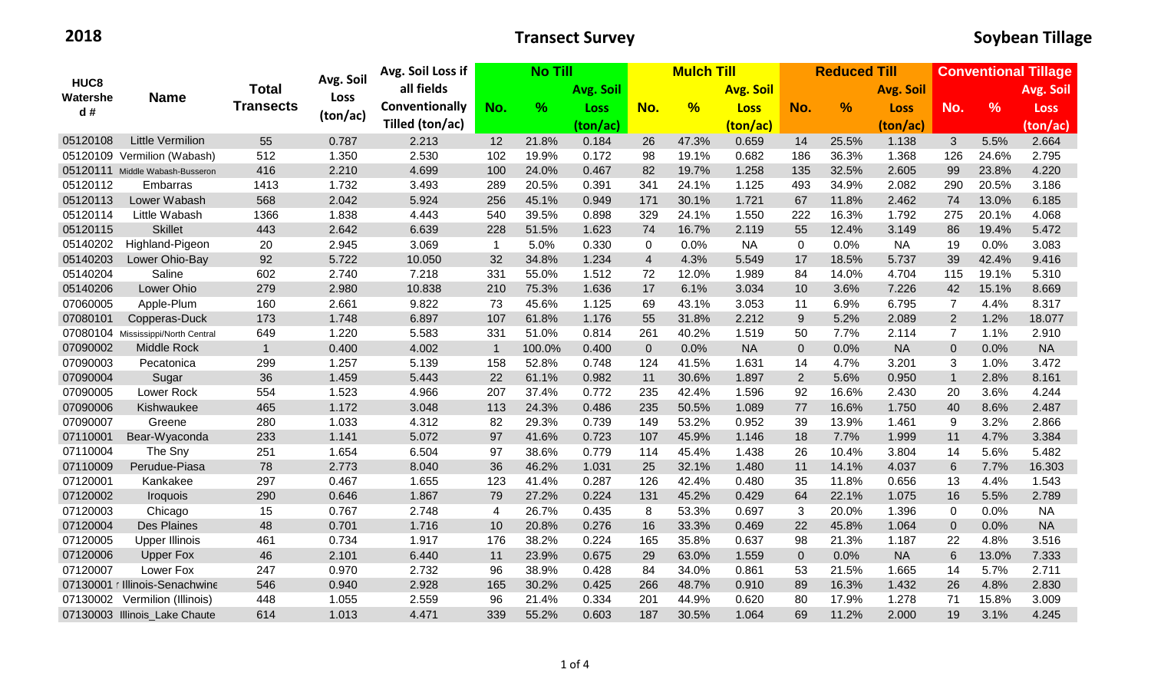|                                    | <b>Name</b>                        | <b>Total</b><br><b>Transects</b> | Avg. Soil<br>Loss<br>(ton/ac) | Avg. Soil Loss if     | <b>No Till</b> |        |                  | <b>Mulch Till</b> |                  |             | <b>Reduced Till</b> |               |                  | <b>Conventional Tillage</b> |               |             |
|------------------------------------|------------------------------------|----------------------------------|-------------------------------|-----------------------|----------------|--------|------------------|-------------------|------------------|-------------|---------------------|---------------|------------------|-----------------------------|---------------|-------------|
| HUC <sub>8</sub><br>Watershe<br>d# |                                    |                                  |                               | all fields            |                |        | <b>Avg. Soil</b> |                   | <b>Avg. Soil</b> |             |                     |               | <b>Avg. Soil</b> |                             |               | Avg. Soil   |
|                                    |                                    |                                  |                               | <b>Conventionally</b> | No.            | $\%$   | Loss             | No.               | $\frac{9}{6}$    | <b>Loss</b> | No.                 | $\frac{9}{6}$ | <b>Loss</b>      | No.                         | $\frac{9}{6}$ | <b>Loss</b> |
|                                    |                                    |                                  |                               | Tilled (ton/ac)       |                |        | (ton/ac)         |                   |                  | (ton/ac)    |                     |               | (ton/ac)         |                             |               | (ton/ac)    |
| 05120108                           | <b>Little Vermilion</b>            | 55                               | 0.787                         | 2.213                 | 12             | 21.8%  | 0.184            | 26                | 47.3%            | 0.659       | 14                  | 25.5%         | 1.138            | 3                           | 5.5%          | 2.664       |
|                                    | 05120109 Vermilion (Wabash)        | 512                              | 1.350                         | 2.530                 | 102            | 19.9%  | 0.172            | 98                | 19.1%            | 0.682       | 186                 | 36.3%         | 1.368            | 126                         | 24.6%         | 2.795       |
|                                    | 05120111 Middle Wabash-Busseron    | 416                              | 2.210                         | 4.699                 | 100            | 24.0%  | 0.467            | 82                | 19.7%            | 1.258       | 135                 | 32.5%         | 2.605            | 99                          | 23.8%         | 4.220       |
| 05120112                           | Embarras                           | 1413                             | 1.732                         | 3.493                 | 289            | 20.5%  | 0.391            | 341               | 24.1%            | 1.125       | 493                 | 34.9%         | 2.082            | 290                         | 20.5%         | 3.186       |
| 05120113                           | Lower Wabash                       | 568                              | 2.042                         | 5.924                 | 256            | 45.1%  | 0.949            | 171               | 30.1%            | 1.721       | 67                  | 11.8%         | 2.462            | 74                          | 13.0%         | 6.185       |
| 05120114                           | Little Wabash                      | 1366                             | 1.838                         | 4.443                 | 540            | 39.5%  | 0.898            | 329               | 24.1%            | 1.550       | 222                 | 16.3%         | 1.792            | 275                         | 20.1%         | 4.068       |
| 05120115                           | <b>Skillet</b>                     | 443                              | 2.642                         | 6.639                 | 228            | 51.5%  | 1.623            | 74                | 16.7%            | 2.119       | 55                  | 12.4%         | 3.149            | 86                          | 19.4%         | 5.472       |
| 05140202                           | Highland-Pigeon                    | 20                               | 2.945                         | 3.069                 | $\overline{1}$ | 5.0%   | 0.330            | $\mathbf 0$       | 0.0%             | <b>NA</b>   | $\mathbf 0$         | 0.0%          | <b>NA</b>        | 19                          | 0.0%          | 3.083       |
| 05140203                           | Lower Ohio-Bay                     | 92                               | 5.722                         | 10.050                | 32             | 34.8%  | 1.234            | $\overline{4}$    | 4.3%             | 5.549       | 17                  | 18.5%         | 5.737            | 39                          | 42.4%         | 9.416       |
| 05140204                           | Saline                             | 602                              | 2.740                         | 7.218                 | 331            | 55.0%  | 1.512            | 72                | 12.0%            | 1.989       | 84                  | 14.0%         | 4.704            | 115                         | 19.1%         | 5.310       |
| 05140206                           | Lower Ohio                         | 279                              | 2.980                         | 10.838                | 210            | 75.3%  | 1.636            | 17                | 6.1%             | 3.034       | 10                  | 3.6%          | 7.226            | 42                          | 15.1%         | 8.669       |
| 07060005                           | Apple-Plum                         | 160                              | 2.661                         | 9.822                 | 73             | 45.6%  | 1.125            | 69                | 43.1%            | 3.053       | 11                  | 6.9%          | 6.795            | 7                           | 4.4%          | 8.317       |
| 07080101                           | Copperas-Duck                      | 173                              | 1.748                         | 6.897                 | 107            | 61.8%  | 1.176            | 55                | 31.8%            | 2.212       | $9\,$               | 5.2%          | 2.089            | $\overline{2}$              | 1.2%          | 18.077      |
|                                    | 07080104 Mississippi/North Central | 649                              | 1.220                         | 5.583                 | 331            | 51.0%  | 0.814            | 261               | 40.2%            | 1.519       | 50                  | 7.7%          | 2.114            | 7                           | 1.1%          | 2.910       |
| 07090002                           | Middle Rock                        | $\mathbf{1}$                     | 0.400                         | 4.002                 | $\overline{1}$ | 100.0% | 0.400            | $\mathbf 0$       | 0.0%             | <b>NA</b>   | $\pmb{0}$           | 0.0%          | <b>NA</b>        | $\mathbf 0$                 | 0.0%          | <b>NA</b>   |
| 07090003                           | Pecatonica                         | 299                              | 1.257                         | 5.139                 | 158            | 52.8%  | 0.748            | 124               | 41.5%            | 1.631       | 14                  | 4.7%          | 3.201            | 3                           | 1.0%          | 3.472       |
| 07090004                           | Sugar                              | 36                               | 1.459                         | 5.443                 | 22             | 61.1%  | 0.982            | 11                | 30.6%            | 1.897       | $\overline{2}$      | 5.6%          | 0.950            | $\mathbf 1$                 | 2.8%          | 8.161       |
| 07090005                           | Lower Rock                         | 554                              | 1.523                         | 4.966                 | 207            | 37.4%  | 0.772            | 235               | 42.4%            | 1.596       | 92                  | 16.6%         | 2.430            | 20                          | 3.6%          | 4.244       |
| 07090006                           | Kishwaukee                         | 465                              | 1.172                         | 3.048                 | 113            | 24.3%  | 0.486            | 235               | 50.5%            | 1.089       | 77                  | 16.6%         | 1.750            | 40                          | 8.6%          | 2.487       |
| 07090007                           | Greene                             | 280                              | 1.033                         | 4.312                 | 82             | 29.3%  | 0.739            | 149               | 53.2%            | 0.952       | 39                  | 13.9%         | 1.461            | 9                           | 3.2%          | 2.866       |
| 07110001                           | Bear-Wyaconda                      | 233                              | 1.141                         | 5.072                 | 97             | 41.6%  | 0.723            | 107               | 45.9%            | 1.146       | 18                  | 7.7%          | 1.999            | 11                          | 4.7%          | 3.384       |
| 07110004                           | The Sny                            | 251                              | 1.654                         | 6.504                 | 97             | 38.6%  | 0.779            | 114               | 45.4%            | 1.438       | 26                  | 10.4%         | 3.804            | 14                          | 5.6%          | 5.482       |
| 07110009                           | Perudue-Piasa                      | 78                               | 2.773                         | 8.040                 | 36             | 46.2%  | 1.031            | 25                | 32.1%            | 1.480       | 11                  | 14.1%         | 4.037            | $\,6$                       | 7.7%          | 16.303      |
| 07120001                           | Kankakee                           | 297                              | 0.467                         | 1.655                 | 123            | 41.4%  | 0.287            | 126               | 42.4%            | 0.480       | 35                  | 11.8%         | 0.656            | 13                          | 4.4%          | 1.543       |
| 07120002                           | Iroquois                           | 290                              | 0.646                         | 1.867                 | 79             | 27.2%  | 0.224            | 131               | 45.2%            | 0.429       | 64                  | 22.1%         | 1.075            | 16                          | 5.5%          | 2.789       |
| 07120003                           | Chicago                            | 15                               | 0.767                         | 2.748                 | 4              | 26.7%  | 0.435            | 8                 | 53.3%            | 0.697       | 3                   | 20.0%         | 1.396            | $\Omega$                    | 0.0%          | <b>NA</b>   |
| 07120004                           | <b>Des Plaines</b>                 | 48                               | 0.701                         | 1.716                 | 10             | 20.8%  | 0.276            | 16                | 33.3%            | 0.469       | 22                  | 45.8%         | 1.064            | $\overline{0}$              | 0.0%          | <b>NA</b>   |
| 07120005                           | <b>Upper Illinois</b>              | 461                              | 0.734                         | 1.917                 | 176            | 38.2%  | 0.224            | 165               | 35.8%            | 0.637       | 98                  | 21.3%         | 1.187            | 22                          | 4.8%          | 3.516       |
| 07120006                           | <b>Upper Fox</b>                   | 46                               | 2.101                         | 6.440                 | 11             | 23.9%  | 0.675            | 29                | 63.0%            | 1.559       | $\mathbf 0$         | 0.0%          | <b>NA</b>        | 6                           | 13.0%         | 7.333       |
| 07120007                           | Lower Fox                          | 247                              | 0.970                         | 2.732                 | 96             | 38.9%  | 0.428            | 84                | 34.0%            | 0.861       | 53                  | 21.5%         | 1.665            | 14                          | 5.7%          | 2.711       |
|                                    | 07130001 r Illinois-Senachwine     | 546                              | 0.940                         | 2.928                 | 165            | 30.2%  | 0.425            | 266               | 48.7%            | 0.910       | 89                  | 16.3%         | 1.432            | 26                          | 4.8%          | 2.830       |
| 07130002                           | Vermilion (Illinois)               | 448                              | 1.055                         | 2.559                 | 96             | 21.4%  | 0.334            | 201               | 44.9%            | 0.620       | 80                  | 17.9%         | 1.278            | 71                          | 15.8%         | 3.009       |
|                                    | 07130003 Illinois_Lake Chaute      | 614                              | 1.013                         | 4.471                 | 339            | 55.2%  | 0.603            | 187               | 30.5%            | 1.064       | 69                  | 11.2%         | 2.000            | 19                          | 3.1%          | 4.245       |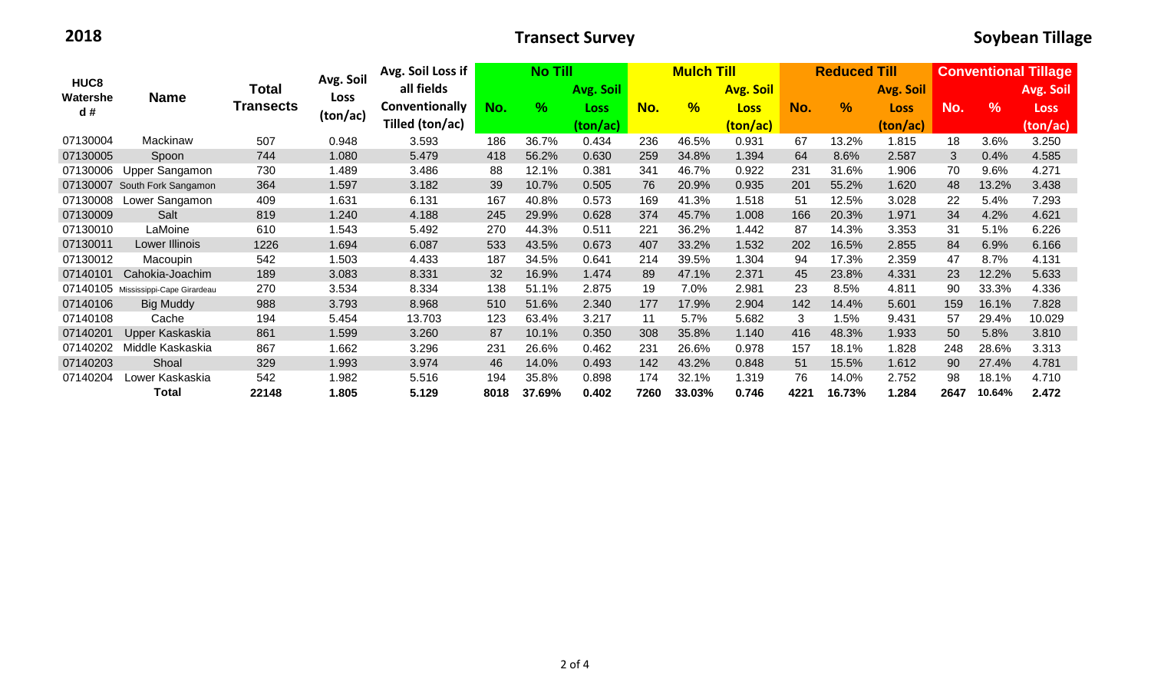| HUC <sub>8</sub><br>Watershe<br>d# | <b>Name</b>                         | Total<br><b>Transects</b> | Avg. Soil<br>Loss<br>(ton/ac) | Avg. Soil Loss if            | <b>No Till</b> |           |             | <b>Mulch Till</b> |                  |             | <b>Reduced Till</b> |               |                  | <b>Conventional Tillage</b> |               |             |
|------------------------------------|-------------------------------------|---------------------------|-------------------------------|------------------------------|----------------|-----------|-------------|-------------------|------------------|-------------|---------------------|---------------|------------------|-----------------------------|---------------|-------------|
|                                    |                                     |                           |                               | all fields<br>Conventionally |                | Avg. Soil |             |                   | <b>Avg. Soil</b> |             |                     |               | <b>Avg. Soil</b> |                             |               | Avg. Soil   |
|                                    |                                     |                           |                               |                              | No.            | $\%$      | <b>Loss</b> | No.               | $\frac{9}{6}$    | <b>Loss</b> | No.                 | $\frac{9}{6}$ | <b>Loss</b>      | No.                         | $\frac{9}{6}$ | <b>Loss</b> |
|                                    |                                     |                           |                               | Tilled (ton/ac)              |                |           | (ton/ac)    |                   |                  | (ton/ac)    |                     |               | (ton/ac)         |                             |               | (ton/ac)    |
| 07130004                           | Mackinaw                            | 507                       | 0.948                         | 3.593                        | 186            | 36.7%     | 0.434       | 236               | 46.5%            | 0.931       | 67                  | 13.2%         | 1.815            | 18                          | 3.6%          | 3.250       |
| 07130005                           | Spoon                               | 744                       | 1.080                         | 5.479                        | 418            | 56.2%     | 0.630       | 259               | 34.8%            | 1.394       | 64                  | 8.6%          | 2.587            | 3                           | 0.4%          | 4.585       |
| 07130006                           | Upper Sangamon                      | 730                       | 1.489                         | 3.486                        | 88             | 12.1%     | 0.381       | 341               | 46.7%            | 0.922       | 231                 | 31.6%         | 1.906            | 70                          | 9.6%          | 4.271       |
| 07130007                           | South Fork Sangamon                 | 364                       | 1.597                         | 3.182                        | 39             | 10.7%     | 0.505       | 76                | 20.9%            | 0.935       | 201                 | 55.2%         | 1.620            | 48                          | 13.2%         | 3.438       |
| 07130008                           | Lower Sangamon                      | 409                       | 1.631                         | 6.131                        | 167            | 40.8%     | 0.573       | 169               | 41.3%            | 1.518       | 51                  | 12.5%         | 3.028            | 22                          | 5.4%          | 7.293       |
| 07130009                           | Salt                                | 819                       | 1.240                         | 4.188                        | 245            | 29.9%     | 0.628       | 374               | 45.7%            | 1.008       | 166                 | 20.3%         | 1.971            | 34                          | 4.2%          | 4.621       |
| 07130010                           | LaMoine                             | 610                       | 1.543                         | 5.492                        | 270            | 44.3%     | 0.511       | 221               | 36.2%            | 1.442       | 87                  | 14.3%         | 3.353            | 31                          | 5.1%          | 6.226       |
| 07130011                           | Lower Illinois                      | 1226                      | 1.694                         | 6.087                        | 533            | 43.5%     | 0.673       | 407               | 33.2%            | 1.532       | 202                 | 16.5%         | 2.855            | 84                          | 6.9%          | 6.166       |
| 07130012                           | Macoupin                            | 542                       | 1.503                         | 4.433                        | 187            | 34.5%     | 0.641       | 214               | 39.5%            | 1.304       | 94                  | 17.3%         | 2.359            | 47                          | 8.7%          | 4.131       |
| 07140101                           | Cahokia-Joachim                     | 189                       | 3.083                         | 8.331                        | 32             | 16.9%     | 1.474       | 89                | 47.1%            | 2.371       | 45                  | 23.8%         | 4.331            | 23                          | 12.2%         | 5.633       |
|                                    | 07140105 Mississippi-Cape Girardeau | 270                       | 3.534                         | 8.334                        | 138            | 51.1%     | 2.875       | 19                | 7.0%             | 2.981       | 23                  | 8.5%          | 4.811            | 90                          | 33.3%         | 4.336       |
| 07140106                           | <b>Big Muddy</b>                    | 988                       | 3.793                         | 8.968                        | 510            | 51.6%     | 2.340       | 177               | 17.9%            | 2.904       | 142                 | 14.4%         | 5.601            | 159                         | 16.1%         | 7.828       |
| 07140108                           | Cache                               | 194                       | 5.454                         | 13.703                       | 123            | 63.4%     | 3.217       | 11                | 5.7%             | 5.682       | 3                   | 1.5%          | 9.431            | 57                          | 29.4%         | 10.029      |
| 07140201                           | Upper Kaskaskia                     | 861                       | 1.599                         | 3.260                        | 87             | 10.1%     | 0.350       | 308               | 35.8%            | 1.140       | 416                 | 48.3%         | 1.933            | 50                          | 5.8%          | 3.810       |
| 07140202                           | Middle Kaskaskia                    | 867                       | 1.662                         | 3.296                        | 231            | 26.6%     | 0.462       | 231               | 26.6%            | 0.978       | 157                 | 18.1%         | 1.828            | 248                         | 28.6%         | 3.313       |
| 07140203                           | Shoal                               | 329                       | 1.993                         | 3.974                        | 46             | 14.0%     | 0.493       | 142               | 43.2%            | 0.848       | 51                  | 15.5%         | 1.612            | 90                          | 27.4%         | 4.781       |
| 07140204                           | Lower Kaskaskia                     | 542                       | 1.982                         | 5.516                        | 194            | 35.8%     | 0.898       | 174               | 32.1%            | 1.319       | 76                  | 14.0%         | 2.752            | 98                          | 18.1%         | 4.710       |
|                                    | <b>Total</b>                        | 22148                     | 1.805                         | 5.129                        | 8018           | 37.69%    | 0.402       | 7260              | 33.03%           | 0.746       | 4221                | 16.73%        | 1.284            | 2647                        | 10.64%        | 2.472       |